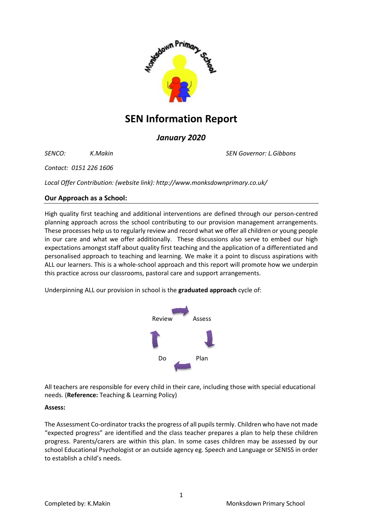

# **SEN Information Report**

# *January 2020*

*SENCO: K.Makin SEN Governor: L.Gibbons*

*Contact: 0151 226 1606*

*Local Offer Contribution: (website link): http://www.monksdownprimary.co.uk/*

# **Our Approach as a School:**

High quality first teaching and additional interventions are defined through our person-centred planning approach across the school contributing to our provision management arrangements. These processes help us to regularly review and record what we offer all children or young people in our care and what we offer additionally. These discussions also serve to embed our high expectations amongst staff about quality first teaching and the application of a differentiated and personalised approach to teaching and learning. We make it a point to discuss aspirations with ALL our learners. This is a whole-school approach and this report will promote how we underpin this practice across our classrooms, pastoral care and support arrangements.

Underpinning ALL our provision in school is the **graduated approach** cycle of:



All teachers are responsible for every child in their care, including those with special educational needs. (**Reference:** Teaching & Learning Policy)

# **Assess:**

The Assessment Co-ordinator tracks the progress of all pupils termly. Children who have not made "expected progress" are identified and the class teacher prepares a plan to help these children progress. Parents/carers are within this plan. In some cases children may be assessed by our school Educational Psychologist or an outside agency eg. Speech and Language or SENISS in order to establish a child's needs.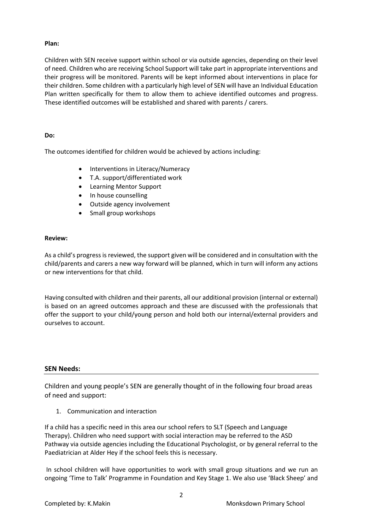## **Plan:**

Children with SEN receive support within school or via outside agencies, depending on their level of need. Children who are receiving School Support will take part in appropriate interventions and their progress will be monitored. Parents will be kept informed about interventions in place for their children. Some children with a particularly high level of SEN will have an Individual Education Plan written specifically for them to allow them to achieve identified outcomes and progress. These identified outcomes will be established and shared with parents / carers.

## **Do:**

The outcomes identified for children would be achieved by actions including:

- Interventions in Literacy/Numeracy
- T.A. support/differentiated work
- Learning Mentor Support
- In house counselling
- Outside agency involvement
- Small group workshops

#### **Review:**

As a child's progress is reviewed, the support given will be considered and in consultation with the child/parents and carers a new way forward will be planned, which in turn will inform any actions or new interventions for that child.

Having consulted with children and their parents, all our additional provision (internal or external) is based on an agreed outcomes approach and these are discussed with the professionals that offer the support to your child/young person and hold both our internal/external providers and ourselves to account.

## **SEN Needs:**

Children and young people's SEN are generally thought of in the following four broad areas of need and support:

1. Communication and interaction

If a child has a specific need in this area our school refers to SLT (Speech and Language Therapy). Children who need support with social interaction may be referred to the ASD Pathway via outside agencies including the Educational Psychologist, or by general referral to the Paediatrician at Alder Hey if the school feels this is necessary.

In school children will have opportunities to work with small group situations and we run an ongoing 'Time to Talk' Programme in Foundation and Key Stage 1. We also use 'Black Sheep' and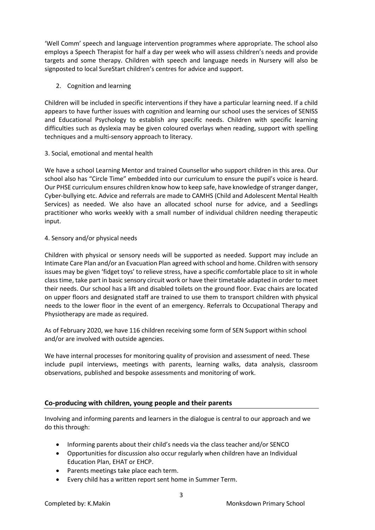'Well Comm' speech and language intervention programmes where appropriate. The school also employs a Speech Therapist for half a day per week who will assess children's needs and provide targets and some therapy. Children with speech and language needs in Nursery will also be signposted to local SureStart children's centres for advice and support.

2. Cognition and learning

Children will be included in specific interventions if they have a particular learning need. If a child appears to have further issues with cognition and learning our school uses the services of SENISS and Educational Psychology to establish any specific needs. Children with specific learning difficulties such as dyslexia may be given coloured overlays when reading, support with spelling techniques and a multi-sensory approach to literacy.

# 3. Social, emotional and mental health

We have a school Learning Mentor and trained Counsellor who support children in this area. Our school also has "Circle Time" embedded into our curriculum to ensure the pupil's voice is heard. Our PHSE curriculum ensures children know how to keep safe, have knowledge of stranger danger, Cyber-bullying etc. Advice and referrals are made to CAMHS (Child and Adolescent Mental Health Services) as needed. We also have an allocated school nurse for advice, and a Seedlings practitioner who works weekly with a small number of individual children needing therapeutic input.

# 4. Sensory and/or physical needs

Children with physical or sensory needs will be supported as needed. Support may include an Intimate Care Plan and/or an Evacuation Plan agreed with school and home. Children with sensory issues may be given 'fidget toys' to relieve stress, have a specific comfortable place to sit in whole class time, take part in basic sensory circuit work or have their timetable adapted in order to meet their needs. Our school has a lift and disabled toilets on the ground floor. Evac chairs are located on upper floors and designated staff are trained to use them to transport children with physical needs to the lower floor in the event of an emergency. Referrals to Occupational Therapy and Physiotherapy are made as required.

As of February 2020, we have 116 children receiving some form of SEN Support within school and/or are involved with outside agencies.

We have internal processes for monitoring quality of provision and assessment of need. These include pupil interviews, meetings with parents, learning walks, data analysis, classroom observations, published and bespoke assessments and monitoring of work.

# **Co-producing with children, young people and their parents**

Involving and informing parents and learners in the dialogue is central to our approach and we do this through:

- Informing parents about their child's needs via the class teacher and/or SENCO
- Opportunities for discussion also occur regularly when children have an Individual Education Plan, EHAT or EHCP.
- Parents meetings take place each term.
- Every child has a written report sent home in Summer Term.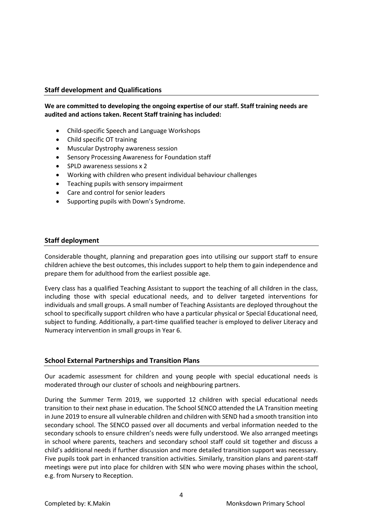# **Staff development and Qualifications**

## **We are committed to developing the ongoing expertise of our staff. Staff training needs are audited and actions taken. Recent Staff training has included:**

- Child-specific Speech and Language Workshops
- Child specific OT training
- Muscular Dystrophy awareness session
- Sensory Processing Awareness for Foundation staff
- SPLD awareness sessions x 2
- Working with children who present individual behaviour challenges
- Teaching pupils with sensory impairment
- Care and control for senior leaders
- Supporting pupils with Down's Syndrome.

## **Staff deployment**

Considerable thought, planning and preparation goes into utilising our support staff to ensure children achieve the best outcomes, this includes support to help them to gain independence and prepare them for adulthood from the earliest possible age.

Every class has a qualified Teaching Assistant to support the teaching of all children in the class, including those with special educational needs, and to deliver targeted interventions for individuals and small groups. A small number of Teaching Assistants are deployed throughout the school to specifically support children who have a particular physical or Special Educational need, subject to funding. Additionally, a part-time qualified teacher is employed to deliver Literacy and Numeracy intervention in small groups in Year 6.

## **School External Partnerships and Transition Plans**

Our academic assessment for children and young people with special educational needs is moderated through our cluster of schools and neighbouring partners.

During the Summer Term 2019, we supported 12 children with special educational needs transition to their next phase in education. The School SENCO attended the LA Transition meeting in June 2019 to ensure all vulnerable children and children with SEND had a smooth transition into secondary school. The SENCO passed over all documents and verbal information needed to the secondary schools to ensure children's needs were fully understood. We also arranged meetings in school where parents, teachers and secondary school staff could sit together and discuss a child's additional needs if further discussion and more detailed transition support was necessary. Five pupils took part in enhanced transition activities. Similarly, transition plans and parent-staff meetings were put into place for children with SEN who were moving phases within the school, e.g. from Nursery to Reception.